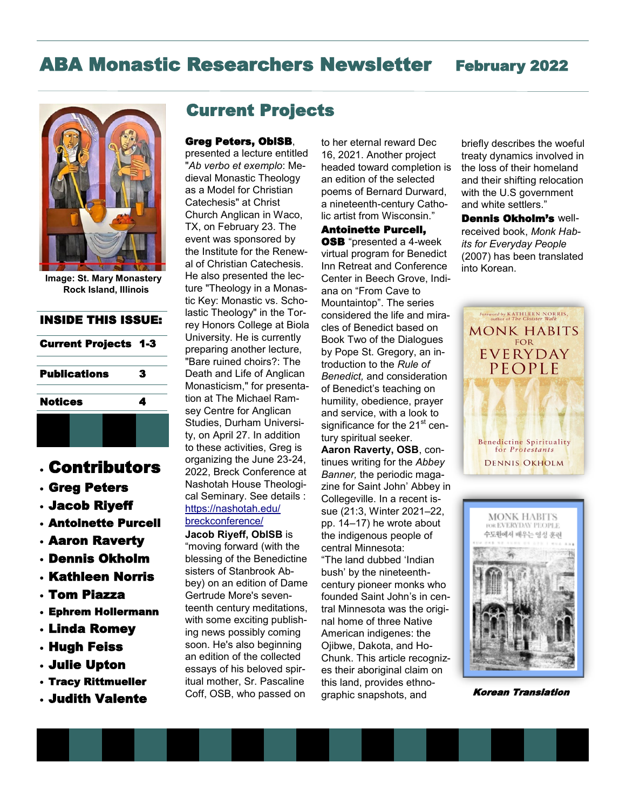# ABA Monastic Researchers Newsletter February 2022



**Image: St. Mary Monastery Rock Island, Illinois**

### INSIDE THIS ISSUE:

| <b>Current Projects 1-3</b> |                     |  |   |  |
|-----------------------------|---------------------|--|---|--|
|                             | <b>Publications</b> |  | 3 |  |
| <b>Notices</b>              |                     |  |   |  |
|                             |                     |  |   |  |

# • Contributors

- Greg Peters
- Jacob Riyeff
- Antoinette Purcell
- Aaron Raverty
- Dennis Okholm
- Kathleen Norris
- Tom Piazza
- Ephrem Hollermann
- Linda Romey
- Hugh Feiss
- Julie Upton
- Tracy Rittmueller
- Judith Valente

# Current Projects

### Greg Peters, OblSB,

presented a lecture entitled "*Ab verbo et exemplo*: Medieval Monastic Theology as a Model for Christian Catechesis" at Christ Church Anglican in Waco, TX, on February 23. The event was sponsored by the Institute for the Renewal of Christian Catechesis. He also presented the lecture "Theology in a Monastic Key: Monastic vs. Scholastic Theology" in the Torrey Honors College at Biola University. He is currently preparing another lecture, "Bare ruined choirs?: The Death and Life of Anglican Monasticism," for presentation at The Michael Ramsey Centre for Anglican Studies, Durham University, on April 27. In addition to these activities, Greg is organizing the June 23-24, 2022, Breck Conference at Nashotah House Theological Seminary. See details : [https://nashotah.edu/](https://nam04.safelinks.protection.outlook.com/?url=https%3A%2F%2Fnashotah.edu%2Fbreckconference%2F&data=04%7C01%7CEHollermann%40csbsju.edu%7C39c01688547749c0397c08d9f17ccc06%7Cf3a8b12ce0414209a57adb14d8738136%7C0%7C0%7C637806340574654968%7CUnknown%7CTWFpbGZs) [breckconference/](https://nam04.safelinks.protection.outlook.com/?url=https%3A%2F%2Fnashotah.edu%2Fbreckconference%2F&data=04%7C01%7CEHollermann%40csbsju.edu%7C39c01688547749c0397c08d9f17ccc06%7Cf3a8b12ce0414209a57adb14d8738136%7C0%7C0%7C637806340574654968%7CUnknown%7CTWFpbGZs)

**Jacob Riyeff, OblSB** is "moving forward (with the blessing of the Benedictine sisters of Stanbrook Abbey) on an edition of Dame Gertrude More's seventeenth century meditations, with some exciting publishing news possibly coming soon. He's also beginning an edition of the collected essays of his beloved spiritual mother, Sr. Pascaline Coff, OSB, who passed on

to her eternal reward Dec 16, 2021. Another project headed toward completion is an edition of the selected poems of Bernard Durward, a nineteenth-century Catholic artist from Wisconsin."

Antoinette Purcell, **OSB** "presented a 4-week virtual program for Benedict Inn Retreat and Conference Center in Beech Grove, Indiana on "From Cave to Mountaintop". The series considered the life and miracles of Benedict based on Book Two of the Dialogues by Pope St. Gregory, an introduction to the *Rule of Benedict,* and consideration of Benedict's teaching on humility, obedience, prayer and service, with a look to significance for the 21<sup>st</sup> century spiritual seeker.

**Aaron Raverty, OSB**, continues writing for the *Abbey Banner,* the periodic magazine for Saint John' Abbey in Collegeville. In a recent issue (21:3, Winter 2021–22, pp. 14–17) he wrote about the indigenous people of central Minnesota: "The land dubbed 'Indian bush' by the nineteenthcentury pioneer monks who founded Saint John's in central Minnesota was the original home of three Native American indigenes: the Ojibwe, Dakota, and Ho-Chunk. This article recognizes their aboriginal claim on this land, provides ethnographic snapshots, and

briefly describes the woeful treaty dynamics involved in the loss of their homeland and their shifting relocation with the U.S government and white settlers."

Dennis Okholm's wellreceived book, *Monk Habits for Everyday People* (2007) has been translated into Korean.





Korean Translation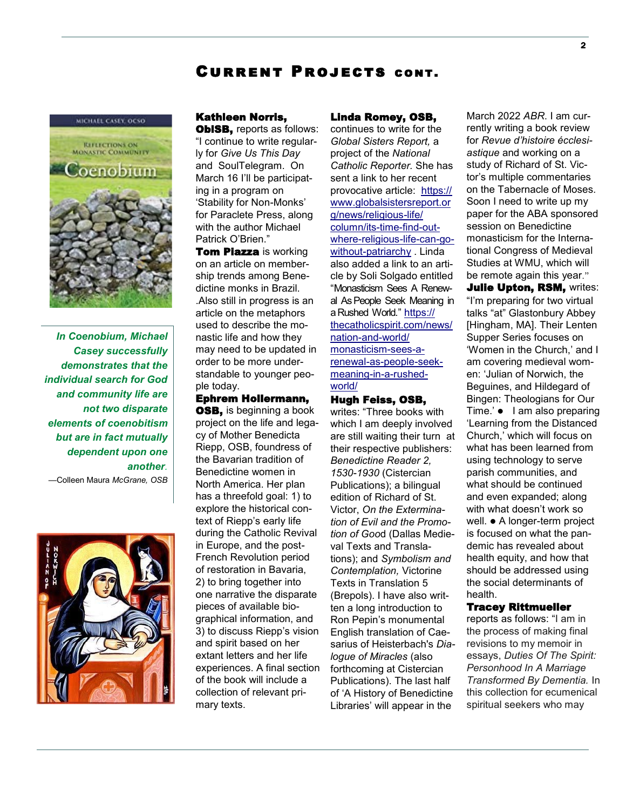# Current Projects cont.



*In Coenobium, Michael Casey successfully demonstrates that the individual search for God and community life are not two disparate elements of coenobitism but are in fact mutually dependent upon one another.*  —Colleen Maura *McGrane, OSB*



### Kathleen Norris,

**OblSB, reports as follows:** "I continue to write regularly for *Give Us This Day*  and SoulTelegram. On March 16 I'll be participating in a program on 'Stability for Non-Monks' for Paraclete Press, along with the author Michael Patrick O'Brien."

**Tom Piazza is working** on an article on membership trends among Benedictine monks in Brazil. .Also still in progress is an article on the metaphors used to describe the monastic life and how they may need to be updated in order to be more understandable to younger people today.

Ephrem Hollermann, **OSB**, is beginning a book project on the life and legacy of Mother Benedicta Riepp, OSB, foundress of the Bavarian tradition of Benedictine women in North America. Her plan has a threefold goal: 1) to explore the historical context of Riepp's early life during the Catholic Revival in Europe, and the post-French Revolution period of restoration in Bavaria, 2) to bring together into one narrative the disparate pieces of available biographical information, and 3) to discuss Riepp's vision and spirit based on her extant letters and her life experiences. A final section of the book will include a collection of relevant primary texts.

#### Linda Romey, OSB,

continues to write for the *Global Sisters Report,* a project of the *National Catholic Reporter.* She has sent a link to her recent provocative article: [https://](https://nam04.safelinks.protection.outlook.com/?url=https%3A%2F%2Fwww.globalsistersreport.org%2Fnews%2Freligious-life%2Fcolumn%2Fits-time-find-out-where-religious-life-can-go-without-patriarchy&data=04%7C01%7CEHollermann%40csbsju.edu%7C50abf328b88d43e48e8e08d) [www.globalsistersreport.or](https://nam04.safelinks.protection.outlook.com/?url=https%3A%2F%2Fwww.globalsistersreport.org%2Fnews%2Freligious-life%2Fcolumn%2Fits-time-find-out-where-religious-life-can-go-without-patriarchy&data=04%7C01%7CEHollermann%40csbsju.edu%7C50abf328b88d43e48e8e08d) [g/news/religious](https://nam04.safelinks.protection.outlook.com/?url=https%3A%2F%2Fwww.globalsistersreport.org%2Fnews%2Freligious-life%2Fcolumn%2Fits-time-find-out-where-religious-life-can-go-without-patriarchy&data=04%7C01%7CEHollermann%40csbsju.edu%7C50abf328b88d43e48e8e08d)-life/ [column/its](https://nam04.safelinks.protection.outlook.com/?url=https%3A%2F%2Fwww.globalsistersreport.org%2Fnews%2Freligious-life%2Fcolumn%2Fits-time-find-out-where-religious-life-can-go-without-patriarchy&data=04%7C01%7CEHollermann%40csbsju.edu%7C50abf328b88d43e48e8e08d)-time-find-outwhere-[religious](https://nam04.safelinks.protection.outlook.com/?url=https%3A%2F%2Fwww.globalsistersreport.org%2Fnews%2Freligious-life%2Fcolumn%2Fits-time-find-out-where-religious-life-can-go-without-patriarchy&data=04%7C01%7CEHollermann%40csbsju.edu%7C50abf328b88d43e48e8e08d)-life-can-gowithout-[patriarchy](https://nam04.safelinks.protection.outlook.com/?url=https%3A%2F%2Fwww.globalsistersreport.org%2Fnews%2Freligious-life%2Fcolumn%2Fits-time-find-out-where-religious-life-can-go-without-patriarchy&data=04%7C01%7CEHollermann%40csbsju.edu%7C50abf328b88d43e48e8e08d) . Linda also added a link to an article by Soli Solgado entitled "[Monasticism Sees A Renew](https://thecatholicspirit.com/news/nation-and-world/monasticism-sees-a-renewal-as-people-seek-meaning-in-a-rushed-world/)[al As People Seek Meaning in](https://thecatholicspirit.com/news/nation-and-world/monasticism-sees-a-renewal-as-people-seek-meaning-in-a-rushed-world/)  [a Rushed World](https://thecatholicspirit.com/news/nation-and-world/monasticism-sees-a-renewal-as-people-seek-meaning-in-a-rushed-world/)." [https://](https://nam04.safelinks.protection.outlook.com/?url=https%3A%2F%2Fthecatholicspirit.com%2Fnews%2Fnation-and-world%2Fmonasticism-sees-a-renewal-as-people-seek-meaning-in-a-rushed-world%2F&data=04%7C01%7CEHollermann%40csbsju.edu%7C50abf328b88d43e48e8e08d9f57393) [thecatholicspirit.com/news/](https://nam04.safelinks.protection.outlook.com/?url=https%3A%2F%2Fthecatholicspirit.com%2Fnews%2Fnation-and-world%2Fmonasticism-sees-a-renewal-as-people-seek-meaning-in-a-rushed-world%2F&data=04%7C01%7CEHollermann%40csbsju.edu%7C50abf328b88d43e48e8e08d9f57393) [nation](https://nam04.safelinks.protection.outlook.com/?url=https%3A%2F%2Fthecatholicspirit.com%2Fnews%2Fnation-and-world%2Fmonasticism-sees-a-renewal-as-people-seek-meaning-in-a-rushed-world%2F&data=04%7C01%7CEHollermann%40csbsju.edu%7C50abf328b88d43e48e8e08d9f57393)-and-world/ [monasticism](https://nam04.safelinks.protection.outlook.com/?url=https%3A%2F%2Fthecatholicspirit.com%2Fnews%2Fnation-and-world%2Fmonasticism-sees-a-renewal-as-people-seek-meaning-in-a-rushed-world%2F&data=04%7C01%7CEHollermann%40csbsju.edu%7C50abf328b88d43e48e8e08d9f57393)-sees-a[renewal](https://nam04.safelinks.protection.outlook.com/?url=https%3A%2F%2Fthecatholicspirit.com%2Fnews%2Fnation-and-world%2Fmonasticism-sees-a-renewal-as-people-seek-meaning-in-a-rushed-world%2F&data=04%7C01%7CEHollermann%40csbsju.edu%7C50abf328b88d43e48e8e08d9f57393)-as-people-seek[meaning](https://nam04.safelinks.protection.outlook.com/?url=https%3A%2F%2Fthecatholicspirit.com%2Fnews%2Fnation-and-world%2Fmonasticism-sees-a-renewal-as-people-seek-meaning-in-a-rushed-world%2F&data=04%7C01%7CEHollermann%40csbsju.edu%7C50abf328b88d43e48e8e08d9f57393)-in-a-rushed[world/](https://nam04.safelinks.protection.outlook.com/?url=https%3A%2F%2Fthecatholicspirit.com%2Fnews%2Fnation-and-world%2Fmonasticism-sees-a-renewal-as-people-seek-meaning-in-a-rushed-world%2F&data=04%7C01%7CEHollermann%40csbsju.edu%7C50abf328b88d43e48e8e08d9f57393)

Hugh Feiss, OSB, writes: "Three books with which I am deeply involved are still waiting their turn at their respective publishers: *Benedictine Reader 2, 1530-1930* (Cistercian Publications); a bilingual edition of Richard of St. Victor, *On the Extermination of Evil and the Promotion of Goo*d (Dallas Medieval Texts and Translations); and *Symbolism and Contemplation,* Victorine Texts in Translation 5 (Brepols). I have also written a long introduction to Ron Pepin's monumental English translation of Caesarius of Heisterbach's *Dialogue of Miracles* (also forthcoming at Cistercian Publications). The last half of 'A History of Benedictine Libraries' will appear in the

March 2022 *ABR*. I am currently writing a book review for *Revue d'histoire écclesiastique* and working on a study of Richard of St. Victor's multiple commentaries on the Tabernacle of Moses*.*  Soon I need to write up my paper for the ABA sponsored session on Benedictine monasticism for the International Congress of Medieval Studies at WMU, which will be remote again this year."

**Julie Upton, RSM, writes:** "I'm preparing for two virtual talks "at" Glastonbury Abbey [Hingham, MA]. Their Lenten Supper Series focuses on 'Women in the Church,' and I am covering medieval women: 'Julian of Norwich, the Beguines, and Hildegard of Bingen: Theologians for Our Time.' ⚫ I am also preparing 'Learning from the Distanced Church,' which will focus on what has been learned from using technology to serve parish communities, and what should be continued and even expanded; along with what doesn't work so well. ● A longer-term project is focused on what the pandemic has revealed about health equity, and how that should be addressed using the social determinants of health.

### Tracey Rittmueller

reports as follows: "I am in the process of making final revisions to my memoir in essays, *Duties Of The Spirit: Personhood In A Marriage Transformed By Dementia.* In this collection for ecumenical spiritual seekers who may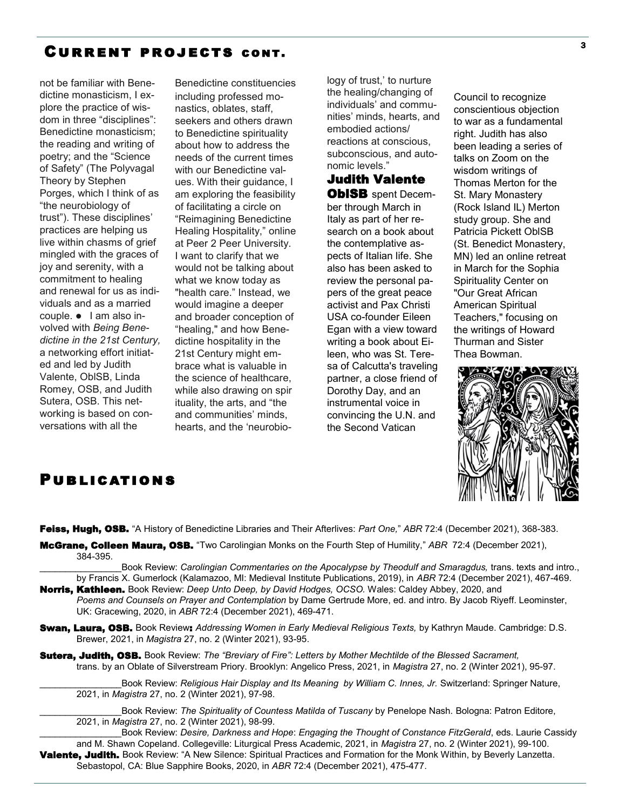# Current projects cont.

not be familiar with Benedictine monasticism, I explore the practice of wisdom in three "disciplines": Benedictine monasticism; the reading and writing of poetry; and the "Science of Safety" (The Polyvagal Theory by Stephen Porges, which I think of as "the neurobiology of trust"). These disciplines' practices are helping us live within chasms of grief mingled with the graces of joy and serenity, with a commitment to healing and renewal for us as individuals and as a married couple. ⚫ I am also involved with *Being Benedictine in the 21st Century,*  a networking effort initiated and led by Judith Valente, OblSB, Linda Romey, OSB, and Judith Sutera, OSB. This networking is based on conversations with all the

Benedictine constituencies including professed monastics, oblates, staff, seekers and others drawn to Benedictine spirituality about how to address the needs of the current times with our Benedictine values. With their guidance, I am exploring the feasibility of facilitating a circle on "Reimagining Benedictine Healing Hospitality," online at Peer 2 Peer University. I want to clarify that we would not be talking about what we know today as "health care." Instead, we would imagine a deeper and broader conception of "healing," and how Benedictine hospitality in the 21st Century might embrace what is valuable in the science of healthcare, while also drawing on spir ituality, the arts, and "the and communities' minds, hearts, and the 'neurobio-

logy of trust,' to nurture the healing/changing of individuals' and communities' minds, hearts, and embodied actions/ reactions at conscious, subconscious, and autonomic levels."

Judith Valente **OblSB** spent December through March in Italy as part of her research on a book about the contemplative aspects of Italian life. She also has been asked to review the personal papers of the great peace activist and Pax Christi USA co-founder Eileen Egan with a view toward writing a book about Eileen, who was St. Teresa of Calcutta's traveling partner, a close friend of Dorothy Day, and an instrumental voice in convincing the U.N. and the Second Vatican

Council to recognize conscientious objection to war as a fundamental right. Judith has also been leading a series of talks on Zoom on the wisdom writings of Thomas Merton for the St. Mary Monastery (Rock Island IL) Merton study group. She and Patricia Pickett OblSB (St. Benedict Monastery, MN) led an online retreat in March for the Sophia Spirituality Center on "Our Great African American Spiritual Teachers," focusing on the writings of Howard Thurman and Sister Thea Bowman.



# **PUBLICATIONS**

Feiss, Hugh, OSB. "A History of Benedictine Libraries and Their Afterlives: *Part One,*" *ABR* 72:4 (December 2021), 368-383.

McGrane, Colleen Maura, OSB. "Two Carolingian Monks on the Fourth Step of Humility," *ABR* 72:4 (December 2021), 384-395.

Book Review: *Carolingian Commentaries on the Apocalypse by Theodulf and Smaragdus, trans. texts and intro.,* by Francis X. Gumerlock (Kalamazoo, MI: Medieval Institute Publications, 2019), in *ABR* 72:4 (December 2021), 467-469.

- Norris, Kathleen. Book Review: *Deep Unto Deep, by David Hodges, OCSO.* Wales: Caldey Abbey, 2020, and *Poems and Counsels on Prayer and Contemplation* by Dame Gertrude More, ed. and intro. By Jacob Riyeff. Leominster, UK: Gracewing, 2020, in *ABR* 72:4 (December 2021), 469-471.
- Swan, Laura, OSB. Book Review: *Addressing Women in Early Medieval Religious Texts,* by Kathryn Maude. Cambridge: D.S. Brewer, 2021, in *Magistra* 27, no. 2 (Winter 2021), 93-95.
- Sutera, Judith, OSB. Book Review: *The "Breviary of Fire": Letters by Mother Mechtilde of the Blessed Sacrament,*  trans. by an Oblate of Silverstream Priory. Brooklyn: Angelico Press, 2021, in *Magistra* 27, no. 2 (Winter 2021), 95-97.

Book Review: *Religious Hair Display and Its Meaning by William C. Innes, Jr. Switzerland: Springer Nature,* 2021, in *Magistra* 27, no. 2 (Winter 2021), 97-98.

\_\_\_\_\_\_\_\_\_\_\_\_\_\_\_\_Book Review: *The Spirituality of Countess Matilda of Tuscany* by Penelope Nash*.* Bologna: Patron Editore, 2021, in *Magistra* 27, no. 2 (Winter 2021), 98-99.

\_\_\_\_\_\_\_\_\_\_\_\_\_\_\_\_Book Review: *Desire, Darkness and Hope*: *Engaging the Thought of Constance FitzGerald*, eds. Laurie Cassidy and M. Shawn Copeland. Collegeville: Liturgical Press Academic, 2021, in *Magistra* 27, no. 2 (Winter 2021), 99-100. Valente, Judith. Book Review: "A New Silence: Spiritual Practices and Formation for the Monk Within, by Beverly Lanzetta. Sebastopol, CA: Blue Sapphire Books, 2020, in *ABR* 72:4 (December 2021), 475-477.